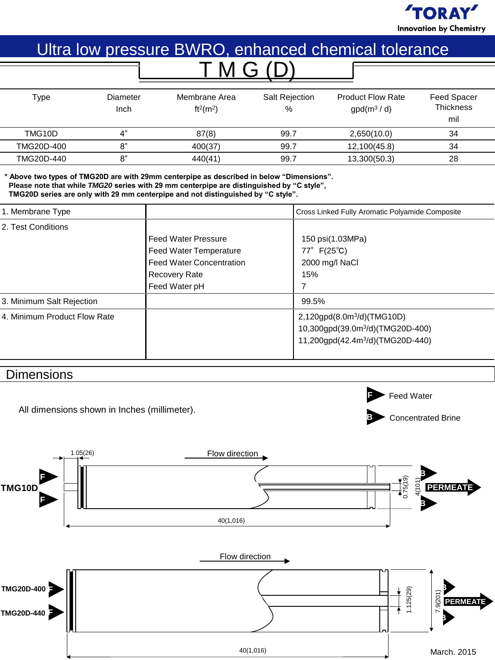

# Ultra low pressure BWRO, enhanced chemical tolerance T M G (D)

| Type       | Diameter<br>Inch | Membrane Area<br>ft <sup>2</sup> (m <sup>2</sup> ) | <b>Salt Rejection</b><br>% | <b>Product Flow Rate</b><br>$gpd(m^3/d)$ | <b>Feed Spacer</b><br><b>Thickness</b><br>mil |  |
|------------|------------------|----------------------------------------------------|----------------------------|------------------------------------------|-----------------------------------------------|--|
| TMG10D     | 4"               | 87(8)                                              | 99.7                       | 2,650(10.0)                              | 34                                            |  |
| TMG20D-400 | 8"               | 400(37)                                            | 99.7                       | 12,100(45.8)                             | 34                                            |  |
| TMG20D-440 | 8"               | 440(41)                                            | 99.7                       | 13,300(50.3)                             | 28                                            |  |

**\* Above two types of TMG20D are with 29mm centerpipe as described in below "Dimensions". Please note that while** *TMG20* **series with 29 mm centerpipe are distinguished by "C style", TMG20D series are only with 29 mm centerpipe and not distinguished by "C style".** 

| 1. Membrane Type             |                                                                   | Cross Linked Fully Aromatic Polyamide Composite                                                                                        |  |
|------------------------------|-------------------------------------------------------------------|----------------------------------------------------------------------------------------------------------------------------------------|--|
| 2. Test Conditions           | l Feed Water Pressure<br>Feed Water Temperature                   | 150 psi(1.03MPa)<br>$77^{\circ}$ F(25 $^{\circ}$ C)                                                                                    |  |
|                              | <b>Feed Water Concentration</b><br>Recovery Rate<br>Feed Water pH | 2000 mg/l NaCl<br>15%                                                                                                                  |  |
| 3. Minimum Salt Rejection    |                                                                   | 99.5%                                                                                                                                  |  |
| 4. Minimum Product Flow Rate |                                                                   | 2,120gpd(8.0m <sup>3</sup> /d)(TMG10D)<br>10,300gpd(39.0m <sup>3</sup> /d)(TMG20D-400)<br>11,200gpd(42.4m <sup>3</sup> /d)(TMG20D-440) |  |

## **Dimensions**

All dimensions shown in Inches (millimeter).